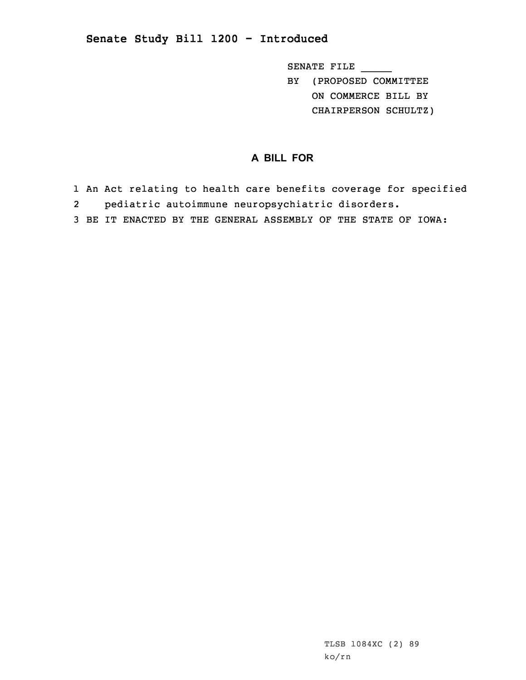## **Senate Study Bill 1200 - Introduced**

SENATE FILE \_\_\_\_\_ BY (PROPOSED COMMITTEE ON COMMERCE BILL BY CHAIRPERSON SCHULTZ)

## **A BILL FOR**

- 1 An Act relating to health care benefits coverage for specified
- 2pediatric autoimmune neuropsychiatric disorders.
- 3 BE IT ENACTED BY THE GENERAL ASSEMBLY OF THE STATE OF IOWA: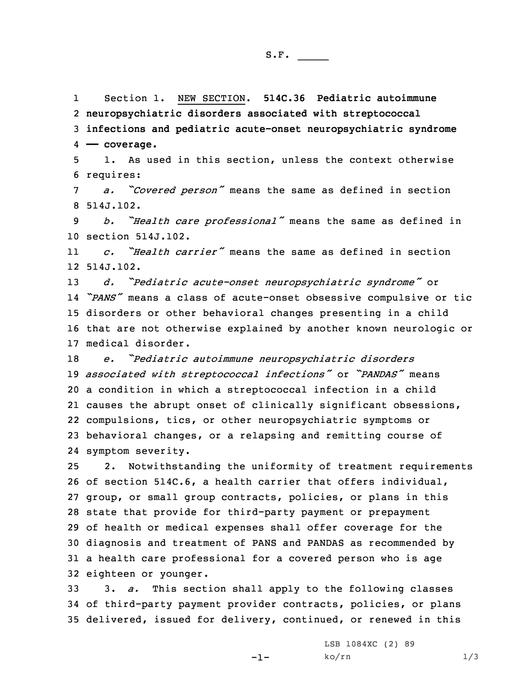1 Section 1. NEW SECTION. **514C.36 Pediatric autoimmune** 2 **neuropsychiatric disorders associated with streptococcal** 3 **infections and pediatric acute-onset neuropsychiatric syndrome** 4 **—— coverage.**

5 1. As used in this section, unless the context otherwise 6 requires:

<sup>7</sup> *a. "Covered person"* means the same as defined in section 8 514J.102.

<sup>9</sup> *b. "Health care professional"* means the same as defined in 10 section 514J.102.

11 *c. "Health carrier"* means the same as defined in section 12 514J.102.

 *d. "Pediatric acute-onset neuropsychiatric syndrome"* or *"PANS"* means <sup>a</sup> class of acute-onset obsessive compulsive or tic disorders or other behavioral changes presenting in <sup>a</sup> child that are not otherwise explained by another known neurologic or medical disorder.

 *e. "Pediatric autoimmune neuropsychiatric disorders associated with streptococcal infections"* or *"PANDAS"* means <sup>a</sup> condition in which <sup>a</sup> streptococcal infection in <sup>a</sup> child causes the abrupt onset of clinically significant obsessions, compulsions, tics, or other neuropsychiatric symptoms or behavioral changes, or <sup>a</sup> relapsing and remitting course of symptom severity.

 2. Notwithstanding the uniformity of treatment requirements of section 514C.6, <sup>a</sup> health carrier that offers individual, group, or small group contracts, policies, or plans in this state that provide for third-party payment or prepayment of health or medical expenses shall offer coverage for the diagnosis and treatment of PANS and PANDAS as recommended by <sup>a</sup> health care professional for <sup>a</sup> covered person who is age eighteen or younger.

33 3. *a.* This section shall apply to the following classes 34 of third-party payment provider contracts, policies, or plans 35 delivered, issued for delivery, continued, or renewed in this

-1-

LSB 1084XC (2) 89  $ko/rn$  1/3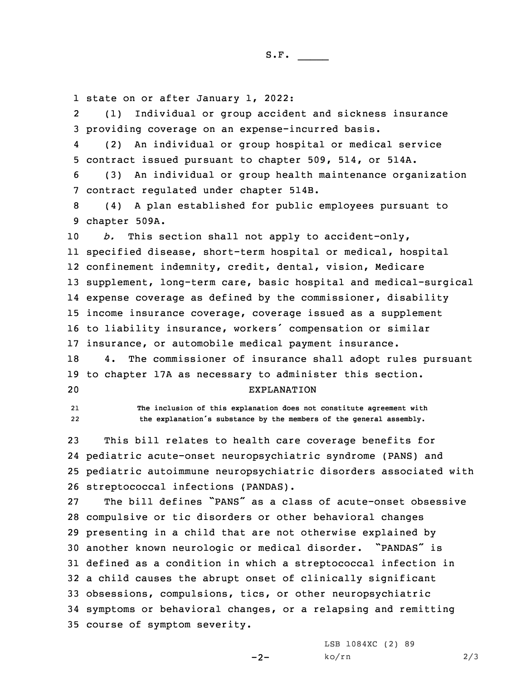1 state on or after January 1, 2022:

2 (1) Individual or group accident and sickness insurance 3 providing coverage on an expense-incurred basis.

4 (2) An individual or group hospital or medical service 5 contract issued pursuant to chapter 509, 514, or 514A.

6 (3) An individual or group health maintenance organization 7 contract regulated under chapter 514B.

8 (4) <sup>A</sup> plan established for public employees pursuant to 9 chapter 509A.

*b.* This section shall not apply to accident-only, specified disease, short-term hospital or medical, hospital confinement indemnity, credit, dental, vision, Medicare supplement, long-term care, basic hospital and medical-surgical expense coverage as defined by the commissioner, disability income insurance coverage, coverage issued as <sup>a</sup> supplement to liability insurance, workers' compensation or similar insurance, or automobile medical payment insurance.

18 4. The commissioner of insurance shall adopt rules pursuant 19 to chapter 17A as necessary to administer this section.

## 20 EXPLANATION

2122  **The inclusion of this explanation does not constitute agreement with the explanation's substance by the members of the general assembly.**

 This bill relates to health care coverage benefits for pediatric acute-onset neuropsychiatric syndrome (PANS) and pediatric autoimmune neuropsychiatric disorders associated with streptococcal infections (PANDAS).

 The bill defines "PANS" as <sup>a</sup> class of acute-onset obsessive compulsive or tic disorders or other behavioral changes presenting in <sup>a</sup> child that are not otherwise explained by another known neurologic or medical disorder. "PANDAS" is defined as <sup>a</sup> condition in which <sup>a</sup> streptococcal infection in <sup>a</sup> child causes the abrupt onset of clinically significant obsessions, compulsions, tics, or other neuropsychiatric symptoms or behavioral changes, or <sup>a</sup> relapsing and remitting course of symptom severity.

 $-2-$ 

LSB 1084XC (2) 89 ko/rn 2/3